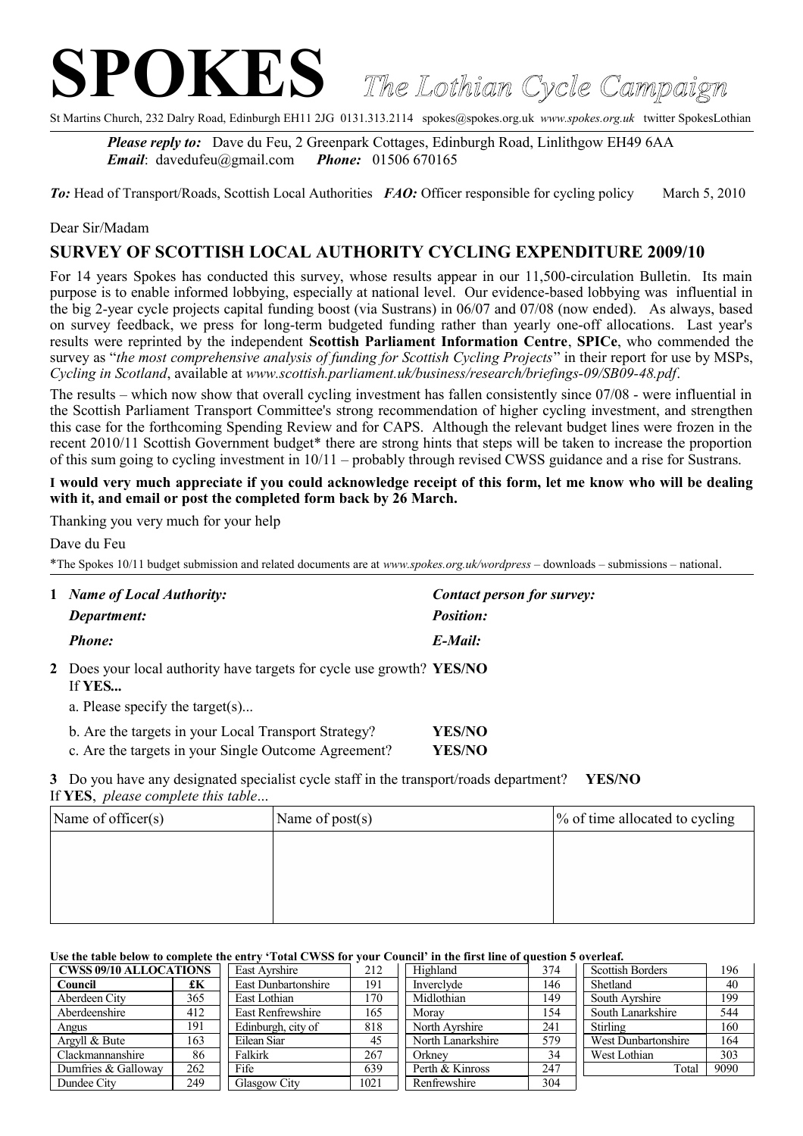# **SPOKES** *The Lothian Cycle Campaign*

St Martins Church, 232 Dalry Road, Edinburgh EH11 2JG 0131.313.2114 spokes@spokes.org.uk *www.spokes.org.uk* twitter SpokesLothian

*Please reply to:* Dave du Feu, 2 Greenpark Cottages, Edinburgh Road, Linlithgow EH49 6AA *Email*: davedufeu@gmail.com *Phone:* 01506 670165

*To:* Head of Transport/Roads, Scottish Local Authorities *FAO:* Officer responsible for cycling policy March 5, 2010

## Dear Sir/Madam

# **SURVEY OF SCOTTISH LOCAL AUTHORITY CYCLING EXPENDITURE 2009/10**

For 14 years Spokes has conducted this survey, whose results appear in our 11,500-circulation Bulletin. Its main purpose is to enable informed lobbying, especially at national level. Our evidence-based lobbying was influential in the big 2-year cycle projects capital funding boost (via Sustrans) in 06/07 and 07/08 (now ended). As always, based on survey feedback, we press for long-term budgeted funding rather than yearly one-off allocations. Last year's results were reprinted by the independent **Scottish Parliament Information Centre**, **SPICe**, who commended the survey as "*the most comprehensive analysis of funding for Scottish Cycling Projects*" in their report for use by MSPs, *Cycling in Scotland*, available at *www.scottish.parliament.uk/business/research/briefings-09/SB09-48.pdf*.

The results – which now show that overall cycling investment has fallen consistently since 07/08 - were influential in the Scottish Parliament Transport Committee's strong recommendation of higher cycling investment, and strengthen this case for the forthcoming Spending Review and for CAPS. Although the relevant budget lines were frozen in the recent 2010/11 Scottish Government budget\* there are strong hints that steps will be taken to increase the proportion of this sum going to cycling investment in 10/11 – probably through revised CWSS guidance and a rise for Sustrans.

### **I would very much appreciate if you could acknowledge receipt of this form, let me know who will be dealing with it, and email or post the completed form back by 26 March.**

Thanking you very much for your help

Dave du Feu

\*The Spokes 10/11 budget submission and related documents are at *www.spokes.org.uk/wordpress* – downloads – submissions – national.

| $\mathbf{1}$ | <b>Name of Local Authority:</b>                                                 | Contact person for survey: |  |
|--------------|---------------------------------------------------------------------------------|----------------------------|--|
|              | Department:                                                                     | <b>Position:</b>           |  |
|              | <b>Phone:</b>                                                                   | E-Mail:                    |  |
|              | 2 Does your local authority have targets for cycle use growth? YES/NO<br>If YES |                            |  |
|              | a. Please specify the target(s)                                                 |                            |  |
|              | b. Are the targets in your Local Transport Strategy?                            | YES/NO                     |  |
|              | c. Are the targets in your Single Outcome Agreement?                            | YES/NO                     |  |

**3** Do you have any designated specialist cycle staff in the transport/roads department? **YES/NO** If **YES**, *please complete this table*...

| Name of officer $(s)$ | Name of $post(s)$ | $\frac{1}{6}$ of time allocated to cycling |
|-----------------------|-------------------|--------------------------------------------|
|                       |                   |                                            |
|                       |                   |                                            |
|                       |                   |                                            |
|                       |                   |                                            |

#### **Use the table below to complete the entry 'Total CWSS for your Council' in the first line of question 5 overleaf.**

| <b>CWSS 09/10 ALLOCATIONS</b> |     | East Avrshire       | 212  | Highland          | 374 | <b>Scottish Borders</b> | 196  |
|-------------------------------|-----|---------------------|------|-------------------|-----|-------------------------|------|
| Council                       | £К  | East Dunbartonshire | 191  | Inverclyde        | 146 | Shetland                | 40   |
| Aberdeen City                 | 365 | East Lothian        | 170  | Midlothian        | 149 | South Avrshire          | 199  |
| Aberdeenshire                 | 412 | East Renfrewshire   | 165  | Morav             | 154 | South Lanarkshire       | 544  |
| Angus                         | 191 | Edinburgh, city of  | 818  | North Avrshire    | 241 | Stirling                | 160  |
| Argyll $& Bute$               | 163 | Eilean Siar         | 45   | North Lanarkshire | 579 | West Dunbartonshire     | 164  |
| Clackmannanshire              | 86  | Falkirk             | 267  | Orknev            | 34  | West Lothian            | 303  |
| Dumfries & Galloway           | 262 | Fife                | 639  | Perth & Kinross   | 247 | Total                   | 9090 |
| Dundee City                   | 249 | <b>Glasgow City</b> | 1021 | Renfrewshire      | 304 |                         |      |